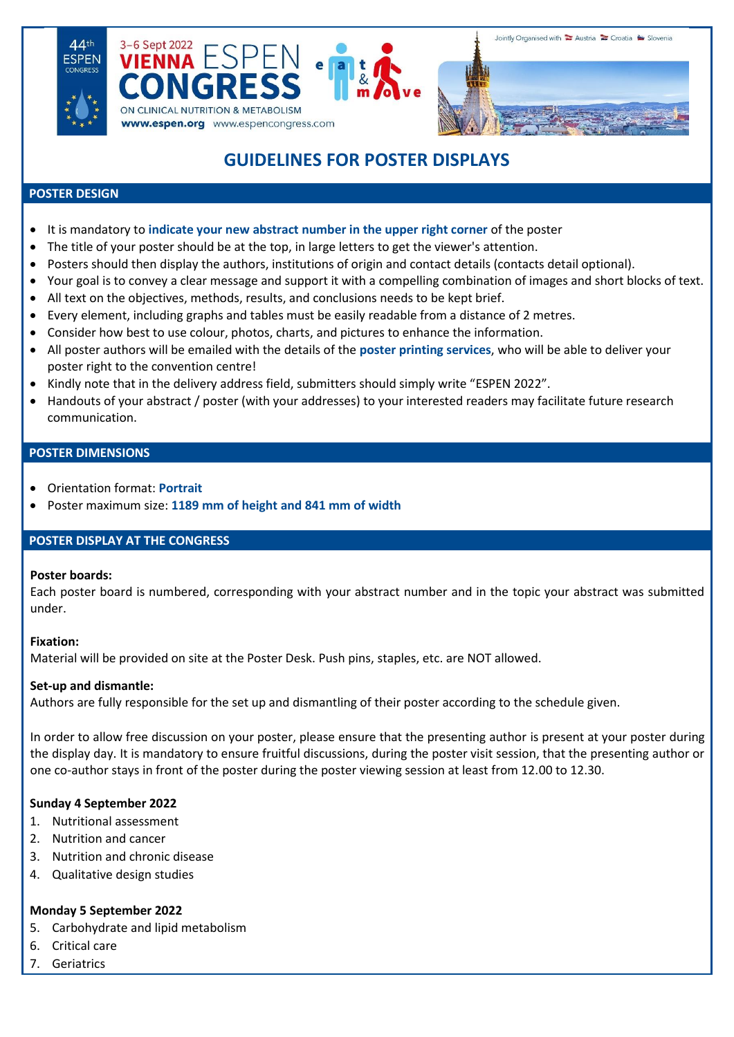





# **GUIDELINES FOR POSTER DISPLAYS**

#### **POSTER DESIGN**

- It is mandatory to **indicate your new abstract number in the upper right corner** of the poster
- The title of your poster should be at the top, in large letters to get the viewer's attention.
- Posters should then display the authors, institutions of origin and contact details (contacts detail optional).
- Your goal is to convey a clear message and support it with a compelling combination of images and short blocks of text.
- All text on the objectives, methods, results, and conclusions needs to be kept brief.
- Every element, including graphs and tables must be easily readable from a distance of 2 metres.
- Consider how best to use colour, photos, charts, and pictures to enhance the information.
- All poster authors will be emailed with the details of the **poster printing services**, who will be able to deliver your poster right to the convention centre!
- Kindly note that in the delivery address field, submitters should simply write "ESPEN 2022".
- Handouts of your abstract / poster (with your addresses) to your interested readers may facilitate future research communication.

#### **POSTER DIMENSIONS**

- Orientation format: **Portrait**
- Poster maximum size: **1189 mm of height and 841 mm of width**

## **POSTER DISPLAY AT THE CONGRESS**

## **Poster boards:**

Each poster board is numbered, corresponding with your abstract number and in the topic your abstract was submitted under.

## **Fixation:**

Material will be provided on site at the Poster Desk. Push pins, staples, etc. are NOT allowed.

## **Set-up and dismantle:**

Authors are fully responsible for the set up and dismantling of their poster according to the schedule given.

In order to allow free discussion on your poster, please ensure that the presenting author is present at your poster during the display day. It is mandatory to ensure fruitful discussions, during the poster visit session, that the presenting author or one co-author stays in front of the poster during the poster viewing session at least from 12.00 to 12.30.

## **Sunday 4 September 2022**

- 1. Nutritional assessment
- 2. Nutrition and cancer
- 3. Nutrition and chronic disease
- 4. Qualitative design studies

## **Monday 5 September 2022**

- 5. Carbohydrate and lipid metabolism
- 6. Critical care
- 7. Geriatrics